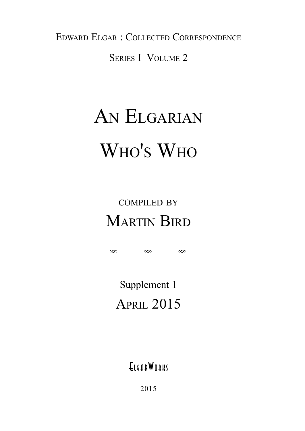EDWARD ELGAR : COLLECTED CORRESPONDENCE

SERIES I VOLUME 2

## AN ELGARIAN WHO'S WHO

## COMPILED BY MARTIN BIRD

§§§

Supplement 1 APRIL 2015

**ELGARWORKS** 

2015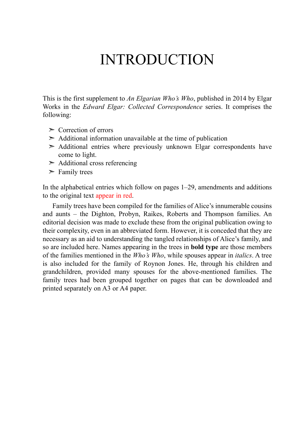### INTRODUCTION

This is the first supplement to *An Elgarian Who's Who*, published in 2014 by Elgar Works in the *Edward Elgar: Collected Correspondence* series. It comprises the following:

- $\geq$  Correction of errors
- $\geq$  Additional information unavailable at the time of publication
- $\geq$  Additional entries where previously unknown Elgar correspondents have come to light.
- $\geq$  Additional cross referencing
- $\triangleright$  Family trees

In the alphabetical entries which follow on pages 1–29, amendments and additions to the original text appear in red.

 Family trees have been compiled for the families of Alice's innumerable cousins and aunts – the Dighton, Probyn, Raikes, Roberts and Thompson families. An editorial decision was made to exclude these from the original publication owing to their complexity, even in an abbreviated form. However, it is conceded that they are necessary as an aid to understanding the tangled relationships of Alice's family, and so are included here. Names appearing in the trees in **bold type** are those members of the families mentioned in the *Who's Who*, while spouses appear in *italics*. A tree is also included for the family of Roynon Jones. He, through his children and grandchildren, provided many spouses for the above-mentioned families. The family trees had been grouped together on pages that can be downloaded and printed separately on A3 or A4 paper.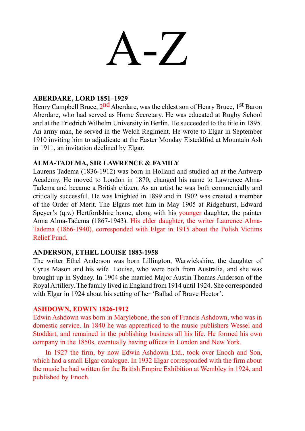# $-$

#### **ABERDARE, LORD 1851–1929**

Henry Campbell Bruce, 2<sup>nd</sup> Aberdare, was the eldest son of Henry Bruce, 1<sup>st</sup> Baron Aberdare, who had served as Home Secretary. He was educated at Rugby School and at the Friedrich Wilhelm University in Berlin. He succeeded to the title in 1895. An army man, he served in the Welch Regiment. He wrote to Elgar in September 1910 inviting him to adjudicate at the Easter Monday Eisteddfod at Mountain Ash in 1911, an invitation declined by Elgar.

#### **ALMA-TADEMA, SIR LAWRENCE & FAMILY**

Laurens Tadema (1836-1912) was born in Holland and studied art at the Antwerp Academy. He moved to London in 1870, changed his name to Lawrence Alma-Tadema and became a British citizen. As an artist he was both commercially and critically successful. He was knighted in 1899 and in 1902 was created a member of the Order of Merit. The Elgars met him in May 1905 at Ridgehurst, Edward Speyer's (q.v.) Hertfordshire home, along with his younger daughter, the painter Anna Alma-Tadema (1867-1943). His elder daughter, the writer Laurence Alma-Tadema (1866-1940), corresponded with Elgar in 1915 about the Polish Victims Relief Fund.

#### **ANDERSON, ETHEL LOUISE 1883-1958**

The writer Ethel Anderson was born Lillington, Warwickshire, the daughter of Cyrus Mason and his wife Louise, who were both from Australia, and she was brought up in Sydney. In 1904 she married Major Austin Thomas Anderson of the Royal Artillery. The family lived in England from 1914 until 1924. She corresponded with Elgar in 1924 about his setting of her 'Ballad of Brave Hector'.

#### **ASHDOWN, EDWIN 1826-1912**

Edwin Ashdown was born in Marylebone, the son of Francis Ashdown, who was in domestic service. In 1840 he was apprenticed to the music publishers Wessel and Stoddart, and remained in the publishing business all his life. He formed his own company in the 1850s, eventually having offices in London and New York.

 In 1927 the firm, by now Edwin Ashdown Ltd., took over Enoch and Son, which had a small Elgar catalogue. In 1932 Elgar corresponded with the firm about the music he had written for the British Empire Exhibition at Wembley in 1924, and published by Enoch.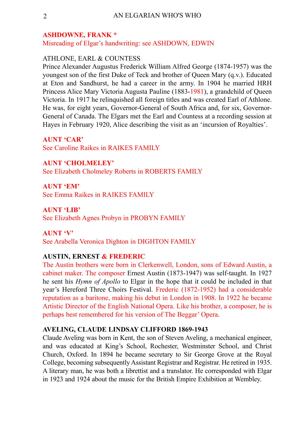#### **ASHDOWNE, FRANK \***

Misreading of Elgar's handwriting: see ASHDOWN, EDWIN

#### ATHLONE, EARL & COUNTESS

Prince Alexander Augustus Frederick William Alfred George (1874-1957) was the youngest son of the first Duke of Teck and brother of Queen Mary (q.v.). Educated at Eton and Sandhurst, he had a career in the army. In 1904 he married HRH Princess Alice Mary Victoria Augusta Pauline (1883-1981), a grandchild of Queen Victoria. In 1917 he relinquished all foreign titles and was created Earl of Athlone. He was, for eight years, Governor-General of South Africa and, for six, Governor-General of Canada. The Elgars met the Earl and Countess at a recording session at Hayes in February 1920, Alice describing the visit as an 'incursion of Royalties'.

**AUNT 'CAR'** See Caroline Raikes in RAIKES FAMILY

**AUNT 'CHOLMELEY'** See Elizabeth Cholmeley Roberts in ROBERTS FAMILY

**AUNT 'EM'** See Emma Raikes in RAIKES FAMILY

**AUNT 'LIB'** See Elizabeth Agnes Probyn in PROBYN FAMILY

#### **AUNT 'V'**

See Arabella Veronica Dighton in DIGHTON FAMILY

#### **AUSTIN, ERNEST & FREDERIC**

The Austin brothers were born in Clerkenwell, London, sons of Edward Austin, a cabinet maker. The composer Ernest Austin (1873-1947) was self-taught. In 1927 he sent his *Hymn of Apollo* to Elgar in the hope that it could be included in that year's Hereford Three Choirs Festival. Frederic (1872-1952) had a considerable reputation as a baritone, making his debut in London in 1908. In 1922 he became Artistic Director of the English National Opera. Like his brother, a composer, he is perhaps best remembered for his version of The Beggar' Opera.

#### **AVELING, CLAUDE LINDSAY CLIFFORD 1869-1943**

Claude Aveling was born in Kent, the son of Steven Aveling, a mechanical engineer, and was educated at King's School, Rochester, Westminster School, and Christ Church, Oxford. In 1894 he became secretary to Sir George Grove at the Royal College, becoming subsequently Assistant Registrar and Registrar. He retired in 1935. A literary man, he was both a librettist and a translator. He corresponded with Elgar in 1923 and 1924 about the music for the British Empire Exhibition at Wembley.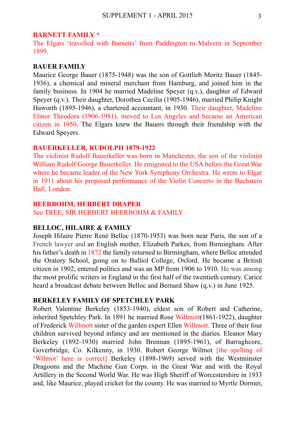#### **BARNETT FAMILY \***

The Elgars 'travelled with Barnetts' from Paddington to Malvern in September 1899.

#### **BAUER FAMILY**

Maurice George Bauer (1875-1948) was the son of Gottlieb Moritz Bauer (1845- 1936), a chemical and mineral merchant from Hamburg, and joined him in the family business. In 1904 he married Madeline Speyer (q.v.), daughter of Edward Speyer (q.v.). Their daughter, Dorothea Cecilia (1905-1946), married Philip Knight Haworth (1895-1946), a chartered accountant, in 1930. Their daughter, Madeline Elinor Theodora (1906-1981), moved to Los Angeles and became an American citizen in 1950. The Elgars knew the Bauers through their friendship with the Edward Speyers.

#### **BAUERKELLER, RUDOLPH 1879-1922**

The violinist Rudolf Bauerkeller was born in Manchester, the son of the violinist William Rudolf George Bauerkeller. He emigrated to the USA before the Great War where he became leader of the New York Symphony Orchestra. He wrote to Elgar in 1911 about his proposed performance of the Violin Concerto in the Bechstein Hall, London.

#### **BEERBOHM, HERBERT DRAPER**

See TREE, SIR HERBERT BEERBOHM & FAMILY

#### **BELLOC, HILAIRE & FAMILY**

Joseph Hilaire Pierre René Belloc (1870-1953) was born near Paris, the son of a French lawyer and an English mother, Elizabeth Parkes, from Birmingham. After his father's death in 1872 the family returned to Birmingham, where Belloc attended the Oratory School, going on to Balliol College, Oxford. He became a British citizen in 1902, entered politics and was an MP from 1906 to 1910. He was among the most prolific writers in England in the first half of the twentieth century. Carice heard a broadcast debate between Belloc and Bernard Shaw (q.v.) in June 1925.

#### **BERKELEY FAMILY OF SPETCHLEY PARK**

Robert Valentine Berkeley (1853-1940), eldest son of Robert and Catherine, inherited Spetchley Park. In 1891 he married Rose Willmott(1861-1922), daughter of Frederick Willmott sister of the garden expert Ellen Willmott. Three of their four children survived beyond infancy and are mentioned in the diaries. Eleanor Mary Berkeley (1892-1930) married John Brennan (1895-1961), of Barraghcore, Goverbridge, Co. Kilkenny, in 1930. Robert George Wilmot [the spelling of 'Wilmot' here is correct] Berkeley (1898-1969) served with the Westminster Dragoons and the Machine Gun Corps. in the Great War and with the Royal Artillery in the Second World War. He was High Sheriff of Worcestershire in 1933 and, like Maurice, played cricket for the county. He was married to Myrtle Dormer,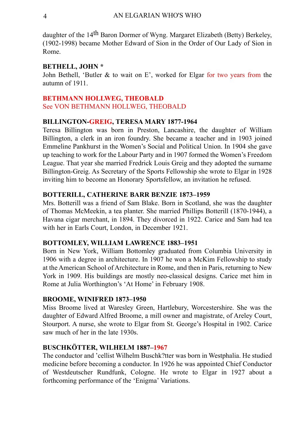daughter of the 14th Baron Dormer of Wyng. Margaret Elizabeth (Betty) Berkeley, (1902-1998) became Mother Edward of Sion in the Order of Our Lady of Sion in Rome.

#### **BETHELL, JOHN \***

John Bethell, 'Butler & to wait on E', worked for Elgar for two years from the autumn of 1911.

#### **BETHMANN HOLLWEG, THEOBALD**

See VON BETHMANN HOLLWEG, THEOBALD

#### **BILLINGTON-GREIG, TERESA MARY 1877-1964**

Teresa Billington was born in Preston, Lancashire, the daughter of William Billington, a clerk in an iron foundry. She became a teacher and in 1903 joined Emmeline Pankhurst in the Women's Social and Political Union. In 1904 she gave up teaching to work for the Labour Party and in 1907 formed the Women's Freedom League. That year she married Fredrick Louis Greig and they adopted the surname Billington-Greig. As Secretary of the Sports Fellowship she wrote to Elgar in 1928 inviting him to become an Honorary Sportsfellow, an invitation he refused.

#### **BOTTERILL, CATHERINE BARR BENZIE 1873–1959**

Mrs. Botterill was a friend of Sam Blake. Born in Scotland, she was the daughter of Thomas McMeekin, a tea planter. She married Phillips Botterill (1870-1944), a Havana cigar merchant, in 1894. They divorced in 1922. Carice and Sam had tea with her in Earls Court, London, in December 1921.

#### **BOTTOMLEY, WILLIAM LAWRENCE 1883–1951**

Born in New York, William Bottomley graduated from Columbia University in 1906 with a degree in architecture. In 1907 he won a McKim Fellowship to study at the American School of Architecture in Rome, and then in Paris, returning to New York in 1909. His buildings are mostly neo-classical designs. Carice met him in Rome at Julia Worthington's 'At Home' in February 1908.

#### **BROOME, WINIFRED 1873–1950**

Miss Broome lived at Waresley Green, Hartlebury, Worcestershire. She was the daughter of Edward Alfred Broome, a mill owner and magistrate, of Areley Court, Stourport. A nurse, she wrote to Elgar from St. George's Hospital in 1902. Carice saw much of her in the late 1930s.

#### **BUSCHKÖTTER, WILHELM 1887–1967**

The conductor and 'cellist Wilhelm Buschk?tter was born in Westphalia. He studied medicine before becoming a conductor. In 1926 he was appointed Chief Conductor of Westdeutscher Rundfunk, Cologne. He wrote to Elgar in 1927 about a forthcoming performance of the 'Enigma' Variations.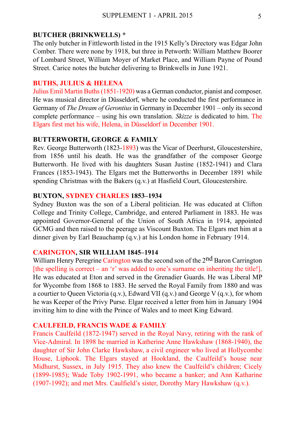#### **BUTCHER (BRINKWELLS) \***

The only butcher in Fittleworth listed in the 1915 Kelly's Directory was Edgar John Comber. There were none by 1918, but three in Petworth: William Matthew Boorer of Lombard Street, William Moyer of Market Place, and William Payne of Pound Street. Carice notes the butcher delivering to Brinkwells in June 1921.

#### **BUTHS, JULIUS & HELENA**

Julius Emil Martin Buths (1851-1920) was a German conductor, pianist and composer. He was musical director in Düsseldorf, where he conducted the first performance in Germany of *The Dream of Gerontius* in Germany in December 1901 – only its second complete performance – using his own translation. *Skizze* is dedicated to him. The Elgars first met his wife, Helena, in Düsseldorf in December 1901.

#### **BUTTERWORTH, GEORGE & FAMILY**

Rev. George Butterworth (1823-1893) was the Vicar of Deerhurst, Gloucestershire, from 1856 until his death. He was the grandfather of the composer George Butterworth. He lived with his daughters Susan Justine (1852-1941) and Clara Frances (1853-1943). The Elgars met the Butterworths in December 1891 while spending Christmas with the Bakers (q.v.) at Hasfield Court, Gloucestershire.

#### **BUXTON, SYDNEY CHARLES 1853–1934**

Sydney Buxton was the son of a Liberal politician. He was educated at Clifton College and Trinity College, Cambridge, and entered Parliament in 1883. He was appointed Governor-General of the Union of South Africa in 1914, appointed GCMG and then raised to the peerage as Viscount Buxton. The Elgars met him at a dinner given by Earl Beauchamp (q.v.) at his London home in February 1914.

#### **CARINGTON, SIR WILLIAM 1845–1914**

William Henry Peregrine Carington was the second son of the 2<sup>nd</sup> Baron Carrington [the spelling is correct – an 'r' was added to one's surname on inheriting the title!]. He was educated at Eton and served in the Grenadier Guards. He was Liberal MP for Wycombe from 1868 to 1883. He served the Royal Family from 1880 and was a courtier to Queen Victoria (q.v.), Edward VII (q.v.) and George V (q.v.), for whom he was Keeper of the Privy Purse. Elgar received a letter from him in January 1904 inviting him to dine with the Prince of Wales and to meet King Edward.

#### **CAULFEILD, FRANCIS WADE & FAMILY**

Francis Caulfeild (1872-1947) served in the Royal Navy, retiring with the rank of Vice-Admiral. In 1898 he married in Katherine Anne Hawkshaw (1868-1940), the daughter of Sir John Clarke Hawkshaw, a civil engineer who lived at Hollycombe House, Liphook. The Elgars stayed at Hookland, the Caulfeild's house near Midhurst, Sussex, in July 1915. They also knew the Caulfeild's children; Cicely (1899-1985); Wade Toby 1902-1991, who became a banker; and Ann Katharine (1907-1992); and met Mrs. Caulfield's sister, Dorothy Mary Hawkshaw (q.v.).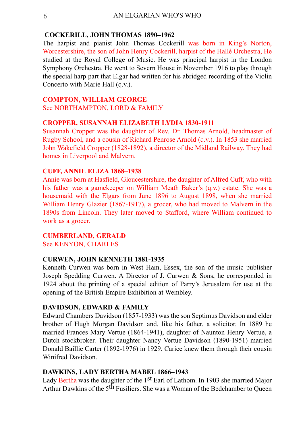#### **COCKERILL, JOHN THOMAS 1890–1962**

The harpist and pianist John Thomas Cockerill was born in King's Norton, Worcestershire, the son of John Henry Cockerill, harpist of the Hallé Orchestra, He studied at the Royal College of Music. He was principal harpist in the London Symphony Orchestra. He went to Severn House in November 1916 to play through the special harp part that Elgar had written for his abridged recording of the Violin Concerto with Marie Hall (q.v.).

#### **COMPTON, WILLIAM GEORGE**

See NORTHAMPTON, LORD & FAMILY

#### **CROPPER, SUSANNAH ELIZABETH LYDIA 1830-1911**

Susannah Cropper was the daughter of Rev. Dr. Thomas Arnold, headmaster of Rugby School, and a cousin of Richard Penrose Arnold (q.v.). In 1853 she married John Wakefield Cropper (1828-1892), a director of the Midland Railway. They had homes in Liverpool and Malvern.

#### **CUFF, ANNIE ELIZA 1868–1938**

Annie was born at Hasfield, Gloucestershire, the daughter of Alfred Cuff, who with his father was a gamekeeper on William Meath Baker's (q.v.) estate. She was a housemaid with the Elgars from June 1896 to August 1898, when she married William Henry Glazier (1867-1917), a grocer, who had moved to Malvern in the 1890s from Lincoln. They later moved to Stafford, where William continued to work as a grocer.

#### **CUMBERLAND, GERALD**

See KENYON, CHARLES

#### **CURWEN, JOHN KENNETH 1881-1935**

Kenneth Curwen was born in West Ham, Essex, the son of the music publisher Joseph Spedding Curwen. A Director of J. Curwen & Sons, he corresponded in 1924 about the printing of a special edition of Parry's Jerusalem for use at the opening of the British Empire Exhibition at Wembley.

#### **DAVIDSON, EDWARD & FAMILY**

Edward Chambers Davidson (1857-1933) was the son Septimus Davidson and elder brother of Hugh Morgan Davidson and, like his father, a solicitor. In 1889 he married Frances Mary Vertue (1864-1941), daughter of Naunton Henry Vertue, a Dutch stockbroker. Their daughter Nancy Vertue Davidson (1890-1951) married Donald Baillie Carter (1892-1976) in 1929. Carice knew them through their cousin Winifred Davidson.

#### **DAWKINS, LADY BERTHA MABEL 1866–1943**

Lady Bertha was the daughter of the 1st Earl of Lathom. In 1903 she married Major Arthur Dawkins of the 5<sup>th</sup> Fusiliers. She was a Woman of the Bedchamber to Queen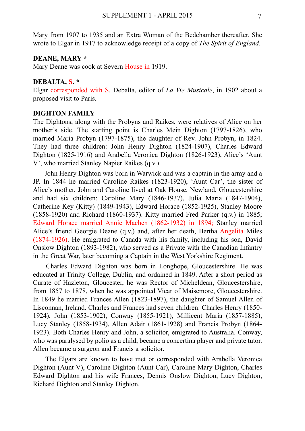Mary from 1907 to 1935 and an Extra Woman of the Bedchamber thereafter. She wrote to Elgar in 1917 to acknowledge receipt of a copy of *The Spirit of England*.

#### **DEANE, MARY \***

Mary Deane was cook at Severn House in 1919.

#### **DEBALTA, S. \***

Elgar corresponded with S. Debalta, editor of *La Vie Musicale*, in 1902 about a proposed visit to Paris.

#### **DIGHTON FAMILY**

The Dightons, along with the Probyns and Raikes, were relatives of Alice on her mother's side. The starting point is Charles Mein Dighton (1797-1826), who married Maria Probyn (1797-1875), the daughter of Rev. John Probyn, in 1824. They had three children: John Henry Dighton (1824-1907), Charles Edward Dighton (1825-1916) and Arabella Veronica Dighton (1826-1923), Alice's 'Aunt V', who married Stanley Napier Raikes (q.v.).

 John Henry Dighton was born in Warwick and was a captain in the army and a JP. In 1844 he married Caroline Raikes (1823-1920), 'Aunt Car', the sister of Alice's mother. John and Caroline lived at Oak House, Newland, Gloucestershire and had six children: Caroline Mary (1846-1937), Julia Maria (1847-1904), Catherine Key (Kitty) (1849-1943), Edward Horace (1852-1925), Stanley Moore (1858-1920) and Richard (1860-1937). Kitty married Fred Parker (q.v.) in 1885; Edward Horace married Annie Machen (1862-1932) in 1894; Stanley married Alice's friend Georgie Deane (q.v.) and, after her death, Bertha Angelita Miles (1874-1926). He emigrated to Canada with his family, including his son, David Onslow Dighton (1893-1982), who served as a Private with the Canadian Infantry in the Great War, later becoming a Captain in the West Yorkshire Regiment.

 Charles Edward Dighton was born in Longhope, Gloucestershire. He was educated at Trinity College, Dublin, and ordained in 1849. After a short period as Curate of Hazleton, Gloucester, he was Rector of Micheldean, Gloucestershire, from 1857 to 1878, when he was appointed Vicar of Maisemore, Gloucestershire. In 1849 he married Frances Allen (1823-1897), the daughter of Samuel Allen of Lisconnan, Ireland. Charles and Frances had seven children: Charles Henry (1850- 1924), John (1853-1902), Conway (1855-1921), Millicent Maria (1857-1885), Lucy Stanley (1858-1934), Allen Adair (1861-1928) and Francis Probyn (1864- 1923). Both Charles Henry and John, a solicitor, emigrated to Australia. Conway, who was paralysed by polio as a child, became a concertina player and private tutor. Allen became a surgeon and Francis a solicitor.

 The Elgars are known to have met or corresponded with Arabella Veronica Dighton (Aunt V), Caroline Dighton (Aunt Car), Caroline Mary Dighton, Charles Edward Dighton and his wife Frances, Dennis Onslow Dighton, Lucy Dighton, Richard Dighton and Stanley Dighton.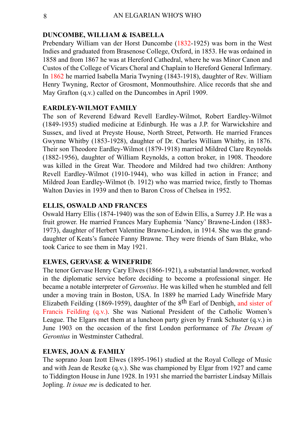#### **DUNCOMBE, WILLIAM & ISABELLA**

Prebendary William van der Horst Duncombe (1832-1925) was born in the West Indies and graduated from Brasenose College, Oxford, in 1853. He was ordained in 1858 and from 1867 he was at Hereford Cathedral, where he was Minor Canon and Custos of the College of Vicars Choral and Chaplain to Hereford General Infirmary. In 1862 he married Isabella Maria Twyning (1843-1918), daughter of Rev. William Henry Twyning, Rector of Grosmont, Monmouthshire. Alice records that she and May Grafton (q.v.) called on the Duncombes in April 1909.

#### **EARDLEY-WILMOT FAMILY**

The son of Reverend Edward Revell Eardley-Wilmot, Robert Eardley-Wilmot (1849-1935) studied medicine at Edinburgh. He was a J.P. for Warwickshire and Sussex, and lived at Preyste House, North Street, Petworth. He married Frances Gwynne Whitby (1853-1928), daughter of Dr. Charles William Whitby, in 1876. Their son Theodore Eardley-Wilmot (1879-1918) married Mildred Clare Reynolds (1882-1956), daughter of William Reynolds, a cotton broker, in 1908. Theodore was killed in the Great War. Theodore and Mildred had two children: Anthony Revell Eardley-Wilmot (1910-1944), who was killed in action in France; and Mildred Joan Eardley-Wilmot (b. 1912) who was married twice, firstly to Thomas Walton Davies in 1939 and then to Baron Cross of Chelsea in 1952.

#### **ELLIS, OSWALD AND FRANCES**

Oswald Harry Ellis (1874-1940) was the son of Edwin Ellis, a Surrey J.P. He was a fruit grower. He married Frances Mary Euphemia 'Nancy' Brawne-Lindon (1883- 1973), daughter of Herbert Valentine Brawne-Lindon, in 1914. She was the granddaughter of Keats's fiancée Fanny Brawne. They were friends of Sam Blake, who took Carice to see them in May 1921.

#### **ELWES, GERVASE & WINEFRIDE**

The tenor Gervase Henry Cary Elwes (1866-1921), a substantial landowner, worked in the diplomatic service before deciding to become a professional singer. He became a notable interpreter of *Gerontius*. He was killed when he stumbled and fell under a moving train in Boston, USA. In 1889 he married Lady Winefride Mary Elizabeth Feilding (1869-1959), daughter of the 8th Earl of Denbigh, and sister of Francis Feilding (q.v.). She was National President of the Catholic Women's League. The Elgars met them at a luncheon party given by Frank Schuster (q.v.) in June 1903 on the occasion of the first London performance of *The Dream of Gerontius* in Westminster Cathedral.

#### **ELWES, JOAN & FAMILY**

The soprano Joan Izott Elwes (1895-1961) studied at the Royal College of Music and with Jean de Reszke (q.v.). She was championed by Elgar from 1927 and came to Tiddington House in June 1928. In 1931 she married the barrister Lindsay Millais Jopling. *It isnae me* is dedicated to her.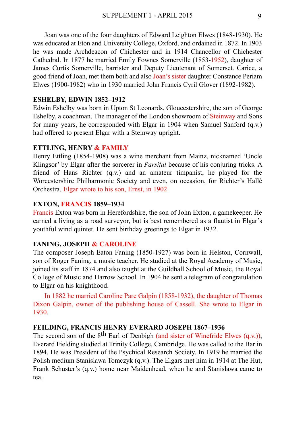Joan was one of the four daughters of Edward Leighton Elwes (1848-1930). He was educated at Eton and University College, Oxford, and ordained in 1872. In 1903 he was made Archdeacon of Chichester and in 1914 Chancellor of Chichester Cathedral. In 1877 he married Emily Fownes Somerville (1853-1952), daughter of James Curtis Somerville, barrister and Deputy Lieutenant of Somerset. Carice, a good friend of Joan, met them both and also Joan's sister daughter Constance Periam Elwes (1900-1982) who in 1930 married John Francis Cyril Glover (1892-1982).

#### **ESHELBY, EDWIN 1852–1912**

Edwin Eshelby was born in Upton St Leonards, Gloucestershire, the son of George Eshelby, a coachman. The manager of the London showroom of Steinway and Sons for many years, he corresponded with Elgar in 1904 when Samuel Sanford  $(a,y)$ had offered to present Elgar with a Steinway upright.

#### **ETTLING, HENRY & FAMILY**

Henry Ettling (1854-1908) was a wine merchant from Mainz, nicknamed 'Uncle Klingsor' by Elgar after the sorcerer in *Parsifal* because of his conjuring tricks. A friend of Hans Richter (q.v.) and an amateur timpanist, he played for the Worcestershire Philharmonic Society and even, on occasion, for Richter's Hallé Orchestra. Elgar wrote to his son, Ernst, in 1902

#### **EXTON, FRANCIS 1859–1934**

Francis Exton was born in Herefordshire, the son of John Exton, a gamekeeper. He earned a living as a road surveyor, but is best remembered as a flautist in Elgar's youthful wind quintet. He sent birthday greetings to Elgar in 1932.

#### **FANING, JOSEPH & CAROLINE**

The composer Joseph Eaton Faning (1850-1927) was born in Helston, Cornwall, son of Roger Faning, a music teacher. He studied at the Royal Academy of Music, joined its staff in 1874 and also taught at the Guildhall School of Music, the Royal College of Music and Harrow School. In 1904 he sent a telegram of congratulation to Elgar on his knighthood.

 In 1882 he married Caroline Pare Galpin (1858-1932), the daughter of Thomas Dixon Galpin, owner of the publishing house of Cassell. She wrote to Elgar in 1930.

#### **FEILDING, FRANCIS HENRY EVERARD JOSEPH 1867–1936**

The second son of the  $8<sup>th</sup>$  Earl of Denbigh (and sister of Winefride Elwes (q.v.)), Everard Fielding studied at Trinity College, Cambridge. He was called to the Bar in 1894. He was President of the Psychical Research Society. In 1919 he married the Polish medium Stanislawa Tomczyk (q.v.). The Elgars met him in 1914 at The Hut, Frank Schuster's (q.v.) home near Maidenhead, when he and Stanislawa came to tea.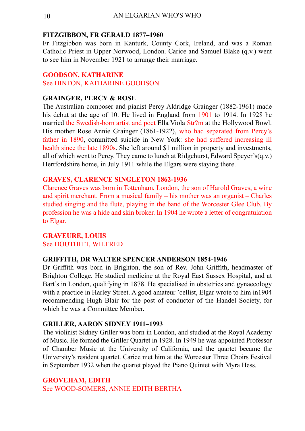#### **FITZGIBBON, FR GERALD 1877–1960**

Fr Fitzgibbon was born in Kanturk, County Cork, Ireland, and was a Roman Catholic Priest in Upper Norwood, London. Carice and Samuel Blake (q.v.) went to see him in November 1921 to arrange their marriage.

#### **GOODSON, KATHARINE**

See HINTON, KATHARINE GOODSON

#### **GRAINGER, PERCY & ROSE**

The Australian composer and pianist Percy Aldridge Grainger (1882-1961) made his debut at the age of 10. He lived in England from 1901 to 1914. In 1928 he married the Swedish-born artist and poet Ella Viola Str?m at the Hollywood Bowl. His mother Rose Annie Grainger (1861-1922), who had separated from Percy's father in 1890, committed suicide in New York: she had suffered increasing ill health since the late 1890s. She left around \$1 million in property and investments, all of which went to Percy. They came to lunch at Ridgehurst, Edward Speyer's(q.v.) Hertfordshire home, in July 1911 while the Elgars were staying there.

#### **GRAVES, CLARENCE SINGLETON 1862-1936**

Clarence Graves was born in Tottenham, London, the son of Harold Graves, a wine and spirit merchant. From a musical family – his mother was an organist – Charles studied singing and the flute, playing in the band of the Worcester Glee Club. By profession he was a hide and skin broker. In 1904 he wrote a letter of congratulation to Elgar.

#### **GRAVEURE, LOUIS** See DOUTHITT, WILFRED

#### **GRIFFITH, DR WALTER SPENCER ANDERSON 1854-1946**

Dr Griffith was born in Brighton, the son of Rev. John Griffith, headmaster of Brighton College. He studied medicine at the Royal East Sussex Hospital, and at Bart's in London, qualifying in 1878. He specialised in obstetrics and gynaecology with a practice in Harley Street. A good amateur 'cellist, Elgar wrote to him in1904 recommending Hugh Blair for the post of conductor of the Handel Society, for which he was a Committee Member.

#### **GRILLER, AARON SIDNEY 1911–1993**

The violinist Sidney Griller was born in London, and studied at the Royal Academy of Music. He formed the Griller Quartet in 1928. In 1949 he was appointed Professor of Chamber Music at the University of California, and the quartet became the University's resident quartet. Carice met him at the Worcester Three Choirs Festival in September 1932 when the quartet played the Piano Quintet with Myra Hess.

#### **GROVEHAM, EDITH**

See WOOD-SOMERS, ANNIE EDITH BERTHA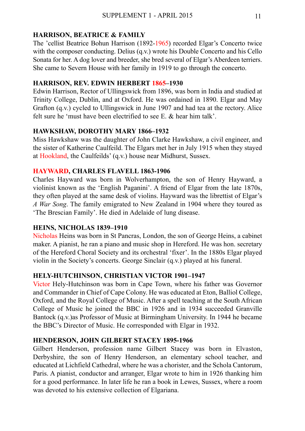#### **HARRISON, BEATRICE & FAMILY**

The 'cellist Beatrice Bohun Harrison (1892-1965) recorded Elgar's Concerto twice with the composer conducting. Delius (q.v.) wrote his Double Concerto and his Cello Sonata for her. A dog lover and breeder, she bred several of Elgar's Aberdeen terriers. She came to Severn House with her family in 1919 to go through the concerto.

#### **HARRISON, REV. EDWIN HERBERT 1865–1930**

Edwin Harrison, Rector of Ullingswick from 1896, was born in India and studied at Trinity College, Dublin, and at Oxford. He was ordained in 1890. Elgar and May Grafton (q.v.) cycled to Ullingswick in June 1907 and had tea at the rectory. Alice felt sure he 'must have been electrified to see  $E \&$  hear him talk'.

#### **HAWKSHAW, DOROTHY MARY 1866–1932**

Miss Hawkshaw was the daughter of John Clarke Hawkshaw, a civil engineer, and the sister of Katherine Caulfeild. The Elgars met her in July 1915 when they stayed at Hookland, the Caulfeilds' (q.v.) house near Midhurst, Sussex.

#### **HAYWARD, CHARLES FLAVELL 1863-1906**

Charles Hayward was born in Wolverhampton, the son of Henry Hayward, a violinist known as the 'English Paganini'. A friend of Elgar from the late 1870s, they often played at the same desk of violins. Hayward was the librettist of Elgar's *A War Song*. The family emigrated to New Zealand in 1904 where they toured as 'The Brescian Family'. He died in Adelaide of lung disease.

#### **HEINS, NICHOLAS 1839–1910**

Nicholas Heins was born in St Pancras, London, the son of George Heins, a cabinet maker. A pianist, he ran a piano and music shop in Hereford. He was hon. secretary of the Hereford Choral Society and its orchestral 'fixer'. In the 1880s Elgar played violin in the Society's concerts. George Sinclair (q.v.) played at his funeral.

#### **HELY-HUTCHINSON, CHRISTIAN VICTOR 1901–1947**

Victor Hely-Hutchinson was born in Cape Town, where his father was Governor and Commander in Chief of Cape Colony. He was educated at Eton, Balliol College, Oxford, and the Royal College of Music. After a spell teaching at the South African College of Music he joined the BBC in 1926 and in 1934 succeeded Granville Bantock (q.v.)as Professor of Music at Birmingham University. In 1944 he became the BBC's Director of Music. He corresponded with Elgar in 1932.

#### **HENDERSON, JOHN GILBERT STACEY 1895-1966**

Gilbert Henderson, profession name Gilbert Stacey was born in Elvaston, Derbyshire, the son of Henry Henderson, an elementary school teacher, and educated at Lichfield Cathedral, where he was a chorister, and the Schola Cantorum, Paris. A pianist, conductor and arranger, Elgar wrote to him in 1926 thanking him for a good performance. In later life he ran a book in Lewes, Sussex, where a room was devoted to his extensive collection of Elgariana.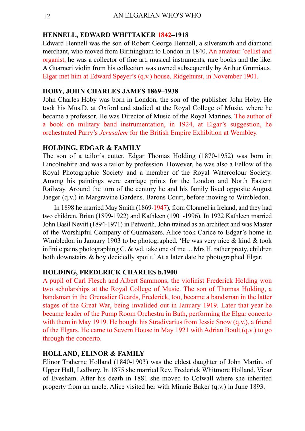#### **HENNELL, EDWARD WHITTAKER 1842–1918**

Edward Hennell was the son of Robert George Hennell, a silversmith and diamond merchant, who moved from Birmingham to London in 1840. An amateur 'cellist and organist, he was a collector of fine art, musical instruments, rare books and the like. A Guarneri violin from his collection was owned subsequently by Arthur Grumiaux. Elgar met him at Edward Speyer's (q.v.) house, Ridgehurst, in November 1901.

#### **HOBY, JOHN CHARLES JAMES 1869–1938**

John Charles Hoby was born in London, the son of the publisher John Hoby. He took his Mus.D. at Oxford and studied at the Royal College of Music, where he became a professor. He was Director of Music of the Royal Marines. The author of a book on military band instrumentation, in 1924, at Elgar's suggestion, he orchestrated Parry's *Jerusalem* for the British Empire Exhibition at Wembley.

#### **HOLDING, EDGAR & FAMILY**

The son of a tailor's cutter, Edgar Thomas Holding (1870-1952) was born in Lincolnshire and was a tailor by profession. However, he was also a Fellow of the Royal Photographic Society and a member of the Royal Watercolour Society. Among his paintings were carriage prints for the London and North Eastern Railway. Around the turn of the century he and his family lived opposite August Jaeger (q.v.) in Margravine Gardens, Barons Court, before moving to Wimbledon.

 In 1898 he married May Smith (1869-1947), from Clonmel in Ireland, and they had two children, Brian (1899-1922) and Kathleen (1901-1996). In 1922 Kathleen married John Basil Nevitt (1894-1971) in Petworth. John trained as an architect and was Master of the Worshipful Company of Gunmakers. Alice took Carice to Edgar's home in Wimbledon in January 1903 to be photographed. 'He was very nice  $\&$  kind  $\&$  took infinite pains photographing C. & wd. take one of me ... Mrs H. rather pretty, children both downstairs & boy decidedly spoilt.' At a later date he photographed Elgar.

#### **HOLDING, FREDERICK CHARLES b.1900**

A pupil of Carl Flesch and Albert Sammons, the violinist Frederick Holding won two scholarships at the Royal College of Music. The son of Thomas Holding, a bandsman in the Grenadier Guards, Frederick, too, became a bandsman in the latter stages of the Great War, being invalided out in January 1919. Later that year he became leader of the Pump Room Orchestra in Bath, performing the Elgar concerto with them in May 1919. He bought his Stradivarius from Jessie Snow (q.v.), a friend of the Elgars. He came to Severn House in May 1921 with Adrian Boult (q.v.) to go through the concerto.

#### **HOLLAND, ELINOR & FAMILY**

Elinor Traherne Holland (1840-1903) was the eldest daughter of John Martin, of Upper Hall, Ledbury. In 1875 she married Rev. Frederick Whitmore Holland, Vicar of Evesham. After his death in 1881 she moved to Colwall where she inherited property from an uncle. Alice visited her with Minnie Baker (q.v.) in June 1893.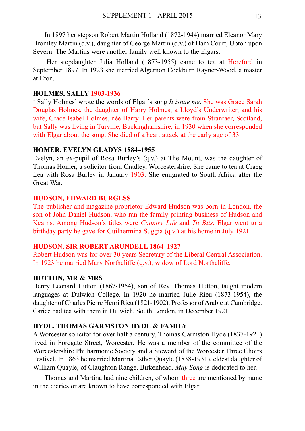In 1897 her stepson Robert Martin Holland (1872-1944) married Eleanor Mary Bromley Martin (q.v.), daughter of George Martin (q.v.) of Ham Court, Upton upon Severn. The Martins were another family well known to the Elgars.

 Her stepdaughter Julia Holland (1873-1955) came to tea at Hereford in September 1897. In 1923 she married Algernon Cockburn Rayner-Wood, a master at Eton.

#### **HOLMES, SALLY 1903-1936**

' Sally Holmes' wrote the words of Elgar's song *It isnae me*. She was Grace Sarah Douglas Holmes, the daughter of Harry Holmes, a Lloyd's Underwriter, and his wife, Grace Isabel Holmes, née Barry. Her parents were from Stranraer, Scotland, but Sally was living in Turville, Buckinghamshire, in 1930 when she corresponded with Elgar about the song. She died of a heart attack at the early age of 33.

#### **HOMER, EVELYN GLADYS 1884–1955**

Evelyn, an ex-pupil of Rosa Burley's (q.v.) at The Mount, was the daughter of Thomas Homer, a solicitor from Cradley, Worcestershire. She came to tea at Craeg Lea with Rosa Burley in January 1903. She emigrated to South Africa after the Great War.

#### **HUDSON, EDWARD BURGESS**

The publisher and magazine proprietor Edward Hudson was born in London, the son of John Daniel Hudson, who ran the family printing business of Hudson and Kearns. Among Hudson's titles were *Country Life* and *Tit Bits*. Elgar went to a birthday party he gave for Guilhermina Suggia (q.v.) at his home in July 1921.

#### **HUDSON, SIR ROBERT ARUNDELL 1864–1927**

Robert Hudson was for over 30 years Secretary of the Liberal Central Association. In 1923 he married Mary Northcliffe (q.v.), widow of Lord Northcliffe.

#### **HUTTON, MR & MRS**

Henry Leonard Hutton (1867-1954), son of Rev. Thomas Hutton, taught modern languages at Dulwich College. In 1920 he married Julie Rieu (1873-1954), the daughter of Charles Pierre Henri Rieu (1821-1902), Professor of Arabic at Cambridge. Carice had tea with them in Dulwich, South London, in December 1921.

#### **HYDE, THOMAS GARMSTON HYDE & FAMILY**

A Worcester solicitor for over half a century, Thomas Garmston Hyde (1837-1921) lived in Foregate Street, Worcester. He was a member of the committee of the Worcestershire Philharmonic Society and a Steward of the Worcester Three Choirs Festival. In 1863 he married Martina Esther Quayle (1838-1931), eldest daughter of William Quayle, of Claughton Range, Birkenhead. *May Song* is dedicated to her.

 Thomas and Martina had nine children, of whom three are mentioned by name in the diaries or are known to have corresponded with Elgar.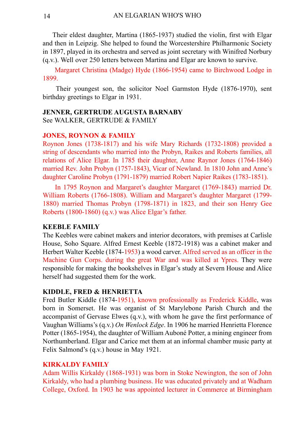Their eldest daughter, Martina (1865-1937) studied the violin, first with Elgar and then in Leipzig. She helped to found the Worcestershire Philharmonic Society in 1897, played in its orchestra and served as joint secretary with Winifred Norbury (q.v.). Well over 250 letters between Martina and Elgar are known to survive.

 Margaret Christina (Madge) Hyde (1866-1954) came to Birchwood Lodge in 1899.

 Their youngest son, the solicitor Noel Garmston Hyde (1876-1970), sent birthday greetings to Elgar in 1931.

#### **JENNER, GERTRUDE AUGUSTA BARNABY**

See WALKER, GERTRUDE & FAMILY

#### **JONES, ROYNON & FAMILY**

Roynon Jones (1738-1817) and his wife Mary Richards (1732-1808) provided a string of descendants who married into the Probyn, Raikes and Roberts families, all relations of Alice Elgar. In 1785 their daughter, Anne Raynor Jones (1764-1846) married Rev. John Probyn (1757-1843), Vicar of Newland. In 1810 John and Anne's daughter Caroline Probyn (1791-1879) married Robert Napier Raikes (1783-1851).

 In 1795 Roynon and Margaret's daughter Margaret (1769-1843) married Dr. William Roberts (1766-1808). William and Margaret's daughter Margaret (1799- 1880) married Thomas Probyn (1798-1871) in 1823, and their son Henry Gee Roberts (1800-1860) (q.v.) was Alice Elgar's father.

#### **KEEBLE FAMILY**

The Keebles were cabinet makers and interior decorators, with premises at Carlisle House, Soho Square. Alfred Ernest Keeble (1872-1918) was a cabinet maker and Herbert Walter Keeble (1874-1953) a wood carver. Alfred served as an officer in the Machine Gun Corps. during the great War and was killed at Ypres. They were responsible for making the bookshelves in Elgar's study at Severn House and Alice herself had suggested them for the work.

#### **KIDDLE, FRED & HENRIETTA**

Fred Butler Kiddle (1874-1951), known professionally as Frederick Kiddle, was born in Somerset. He was organist of St Marylebone Parish Church and the accompanist of Gervase Elwes (q.v.), with whom he gave the first performance of Vaughan Williams's (q.v.) *On Wenlock Edge*. In 1906 he married Henrietta Florence Potter (1865-1954), the daughter of William Auboné Potter, a mining engineer from Northumberland. Elgar and Carice met them at an informal chamber music party at Felix Salmond's (q.v.) house in May 1921.

#### **KIRKALDY FAMILY**

Adam Willis Kirkaldy (1868-1931) was born in Stoke Newington, the son of John Kirkaldy, who had a plumbing business. He was educated privately and at Wadham College, Oxford. In 1903 he was appointed lecturer in Commerce at Birmingham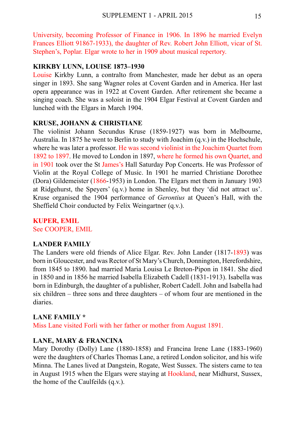University, becoming Professor of Finance in 1906. In 1896 he married Evelyn Frances Elliott 91867-1933), the daughter of Rev. Robert John Elliott, vicar of St. Stephen's, Poplar. Elgar wrote to her in 1909 about musical repertory.

#### **KIRKBY LUNN, LOUISE 1873–1930**

Louise Kirkby Lunn, a contralto from Manchester, made her debut as an opera singer in 1893. She sang Wagner roles at Covent Garden and in America. Her last opera appearance was in 1922 at Covent Garden. After retirement she became a singing coach. She was a soloist in the 1904 Elgar Festival at Covent Garden and lunched with the Elgars in March 1904.

#### **KRUSE, JOHANN & CHRISTIANE**

The violinist Johann Secundus Kruse (1859-1927) was born in Melbourne, Australia. In 1875 he went to Berlin to study with Joachim (q.v.) in the Hochschule, where he was later a professor. He was second violinist in the Joachim Quartet from 1892 to 1897. He moved to London in 1897, where he formed his own Quartet, and in 1901 took over the St James's Hall Saturday Pop Concerts. He was Professor of Violin at the Royal College of Music. In 1901 he married Christiane Dorothee (Dora) Gildemeister (1866-1953) in London. The Elgars met them in January 1903 at Ridgehurst, the Speyers' (q.v.) home in Shenley, but they 'did not attract us'. Kruse organised the 1904 performance of *Gerontius* at Queen's Hall, with the Sheffield Choir conducted by Felix Weingartner (q.v.).

#### **KUPER, EMIL** See COOPER, EMIL

#### **LANDER FAMILY**

The Landers were old friends of Alice Elgar. Rev. John Lander (1817-1893) was born in Gloucester, and was Rector of St Mary's Church, Donnington, Herefordshire, from 1845 to 1890. had married Maria Louisa Le Breton-Pipon in 1841. She died in 1850 and in 1856 he married Isabella Elizabeth Cadell (1831-1913). Isabella was born in Edinburgh, the daughter of a publisher, Robert Cadell. John and Isabella had six children – three sons and three daughters – of whom four are mentioned in the diaries.

#### **LANE FAMILY \***

Miss Lane visited Forli with her father or mother from August 1891.

#### **LANE, MARY & FRANCINA**

Mary Dorothy (Dolly) Lane (1880-1858) and Francina Irene Lane (1883-1960) were the daughters of Charles Thomas Lane, a retired London solicitor, and his wife Minna. The Lanes lived at Dangstein, Rogate, West Sussex. The sisters came to tea in August 1915 when the Elgars were staying at Hookland, near Midhurst, Sussex, the home of the Caulfeilds (q.v.).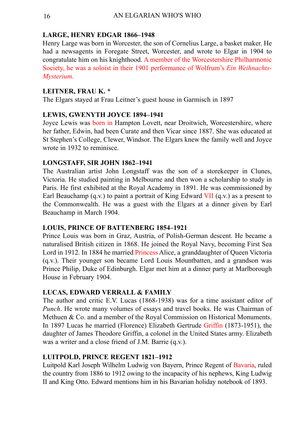#### **LARGE, HENRY EDGAR 1866–1948**

Henry Large was born in Worcester, the son of Cornelius Large, a basket maker. He had a newsagents in Foregate Street, Worcester, and wrote to Elgar in 1904 to congratulate him on his knighthood. A member of the Worcestershire Philharmonic Society, he was a soloist in their 1901 performance of Wolfrum's *Ein Weihnachts-Mysterium*.

#### **LEITNER, FRAU K. \***

The Elgars stayed at Frau Leitner's guest house in Garmisch in 1897

#### **LEWIS, GWENYTH JOYCE 1894–1941**

Joyce Lewis was born in Hampton Lovett, near Droitwich, Worcestershire, where her father, Edwin, had been Curate and then Vicar since 1887. She was educated at St Stephen's College, Clewer, Windsor. The Elgars knew the family well and Joyce wrote in 1932 to reminisce.

#### **LONGSTAFF, SIR JOHN 1862–1941**

The Australian artist John Longstaff was the son of a storekeeper in Clunes, Victoria. He studied painting in Melbourne and then won a scholarship to study in Paris. He first exhibited at the Royal Academy in 1891. He was commissioned by Earl Beauchamp (q.v.) to paint a portrait of King Edward VII (q.v.) as a present to the Commonwealth. He was a guest with the Elgars at a dinner given by Earl Beauchamp in March 1904.

#### **LOUIS, PRINCE OF BATTENBERG 1854–1921**

Prince Louis was born in Graz, Austria, of Polish-German descent. He became a naturalised British citizen in 1868. He joined the Royal Navy, becoming First Sea Lord in 1912. In 1884 he married Princess Alice, a granddaughter of Queen Victoria (q.v.). Their younger son became Lord Louis Mountbatten, and a grandson was Prince Philip, Duke of Edinburgh. Elgar met him at a dinner party at Marlborough House in February 1904.

#### **LUCAS, EDWARD VERRALL & FAMILY**

The author and critic E.V. Lucas (1868-1938) was for a time assistant editor of *Punch*. He wrote many volumes of essays and travel books. He was Chairman of Methuen & Co. and a member of the Royal Commission on Historical Monuments. In 1897 Lucas he married (Florence) Elizabeth Gertrude Griffin (1873-1951), the daughter of James Theodore Griffin, a colonel in the United States army. Elizabeth was a writer and a close friend of J.M. Barrie (q.v.).

#### **LUITPOLD, PRINCE REGENT 1821–1912**

Luitpold Karl Joseph Wilhelm Ludwig von Bayern, Prince Regent of Bavaria, ruled the country from 1886 to 1912 owing to the incapacity of his nephews, King Ludwig II and King Otto. Edward mentions him in his Bavarian holiday notebook of 1893.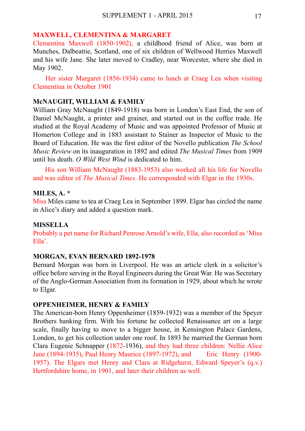#### **MAXWELL, CLEMENTINA & MARGARET**

Clementina Maxwell (1850-1902), a childhood friend of Alice, was born at Munches, Dalbeattie, Scotland, one of six children of Wellwood Herries Maxwell and his wife Jane. She later moved to Cradley, near Worcester, where she died in May 1902.

 Her sister Margaret (1856-1934) came to lunch at Craeg Lea when visiting Clementina in October 1901

#### **McNAUGHT, WILLIAM & FAMILY**

William Gray McNaught (1849-1918) was born in London's East End, the son of Daniel McNaught, a printer and grainer, and started out in the coffee trade. He studied at the Royal Academy of Music and was appointed Professor of Music at Homerton College and in 1883 assistant to Stainer as Inspector of Music to the Board of Education. He was the first editor of the Novello publication *The School Music Review* on its inauguration in 1892 and edited *The Musical Times* from 1909 until his death. *O Wild West Wind* is dedicated to him.

 His son William McNaught (1883-1953) also worked all his life for Novello and was editor of *The Musical Times*. He corresponded with Elgar in the 1930s.

#### **MILES, A. \***

Miss Miles came to tea at Craeg Lea in September 1899. Elgar has circled the name in Alice's diary and added a question mark.

#### **MISSELLA**

Probably a pet name for Richard Penrose Arnold's wife, Ella, also recorded as 'Miss Ella'.

#### **MORGAN, EVAN BERNARD 1892-1978**

Bernard Morgan was born in Liverpool. He was an article clerk in a solicitor's office before serving in the Royal Engineers during the Great War. He was Secretary of the Anglo-German Association from its formation in 1929, about which he wrote to Elgar.

#### **OPPENHEIMER, HENRY & FAMILY**

The American-born Henry Oppenheimer (1859-1932) was a member of the Speyer Brothers banking firm. With his fortune he collected Renaissance art on a large scale, finally having to move to a bigger house, in Kensington Palace Gardens, London, to get his collection under one roof. In 1893 he married the German born Clara Eugenie Schnapper (1872-1936), and they had three children: Nellie Alice Jane (1894-1935), Paul Henry Maurice (1897-1972), and Eric Henry (1900- 1957). The Elgars met Henry and Clara at Ridgehurst, Edward Speyer's (q.v.) Hertfordshire home, in 1901, and later their children as well.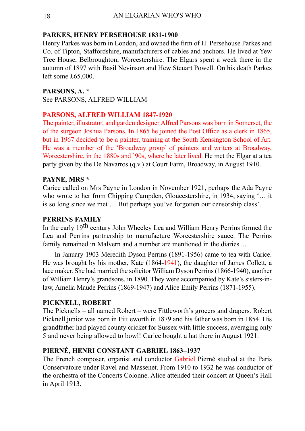#### **PARKES, HENRY PERSEHOUSE 1831-1900**

Henry Parkes was born in London, and owned the firm of H. Persehouse Parkes and Co. of Tipton, Staffordshire, manufacturers of cables and anchors. He lived at Yew Tree House, Belbroughton, Worcestershire. The Elgars spent a week there in the autumn of 1897 with Basil Nevinson and Hew Steuart Powell. On his death Parkes left some  $£65,000$ .

#### **PARSONS, A. \***

See PARSONS, ALFRED WILLIAM

#### **PARSONS, ALFRED WILLIAM 1847-1920**

The painter, illustrator, and garden designer Alfred Parsons was born in Somerset, the of the surgeon Joshua Parsons. In 1865 he joined the Post Office as a clerk in 1865, but in 1967 decided to be a painter, training at the South Kensington School of Art. He was a member of the 'Broadway group' of painters and writers at Broadway, Worcestershire, in the 1880s and '90s, where he later lived. He met the Elgar at a tea party given by the De Navarros (q.v.) at Court Farm, Broadway, in August 1910.

#### **PAYNE, MRS \***

Carice called on Mrs Payne in London in November 1921, perhaps the Ada Payne who wrote to her from Chipping Campden, Gloucestershire, in 1934, saying '... it is so long since we met … But perhaps you've forgotten our censorship class'.

#### **PERRINS FAMILY**

In the early 19<sup>th</sup> century John Wheeley Lea and William Henry Perrins formed the Lea and Perrins partnership to manufacture Worcestershire sauce. The Perrins family remained in Malvern and a number are mentioned in the diaries ...

 In January 1903 Meredith Dyson Perrins (1891-1956) came to tea with Carice. He was brought by his mother, Kate (1864-1941), the daughter of James Collett, a lace maker. She had married the solicitor William Dyson Perrins (1866-1940), another of William Henry's grandsons, in 1890. They were accompanied by Kate's sisters-inlaw, Amelia Maude Perrins (1869-1947) and Alice Emily Perrins (1871-1955).

#### **PICKNELL, ROBERT**

The Picknells – all named Robert – were Fittleworth's grocers and drapers. Robert Picknell junior was born in Fittleworth in 1879 and his father was born in 1854. His grandfather had played county cricket for Sussex with little success, averaging only 5 and never being allowed to bowl! Carice bought a hat there in August 1921.

#### **PIERNÉ, HENRI CONSTANT GABRIEL 1863–1937**

The French composer, organist and conductor Gabriel Pierné studied at the Paris Conservatoire under Ravel and Massenet. From 1910 to 1932 he was conductor of the orchestra of the Concerts Colonne. Alice attended their concert at Queen's Hall in April 1913.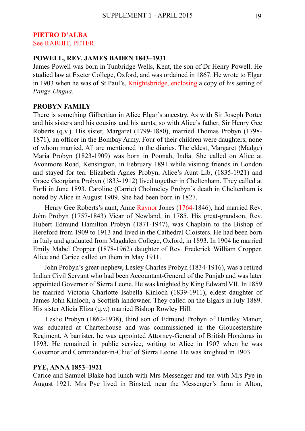#### **PIETRO D'ALBA** See RABBIT, PETER

#### **POWELL, REV. JAMES BADEN 1843–1931**

James Powell was born in Tunbridge Wells, Kent, the son of Dr Henry Powell. He studied law at Exeter College, Oxford, and was ordained in 1867. He wrote to Elgar in 1903 when he was of St Paul's, Knightsbridge, enclosing a copy of his setting of *Pange Lingua*.

#### **PROBYN FAMILY**

There is something Gilbertian in Alice Elgar's ancestry. As with Sir Joseph Porter and his sisters and his cousins and his aunts, so with Alice's father, Sir Henry Gee Roberts (q.v.). His sister, Margaret (1799-1880), married Thomas Probyn (1798- 1871), an officer in the Bombay Army. Four of their children were daughters, none of whom married. All are mentioned in the diaries. The eldest, Margaret (Madge) Maria Probyn (1823-1909) was born in Poonah, India. She called on Alice at Avonmore Road, Kensington, in February 1891 while visiting friends in London and stayed for tea. Elizabeth Agnes Probyn, Alice's Aunt Lib, (1835-1921) and Grace Georgiana Probyn (1833-1912) lived together in Cheltenham. They called at Forli in June 1893. Caroline (Carrie) Cholmeley Probyn's death in Cheltenham is noted by Alice in August 1909. She had been born in 1827.

 Henry Gee Roberts's aunt, Anne Raynor Jones (1764-1846), had married Rev. John Probyn (1757-1843) Vicar of Newland, in 1785. His great-grandson, Rev. Hubert Edmund Hamilton Probyn (1871-1947), was Chaplain to the Bishop of Hereford from 1909 to 1913 and lived in the Cathedral Cloisters. He had been born in Italy and graduated from Magdalen College, Oxford, in 1893. In 1904 he married Emily Mabel Cropper (1878-1962) daughter of Rev. Frederick William Cropper. Alice and Carice called on them in May 1911.

 John Probyn's great-nephew, Lesley Charles Probyn (1834-1916), was a retired Indian Civil Servant who had been Accountant-General of the Punjab and was later appointed Governor of Sierra Leone. He was knighted by King Edward VII. In 1859 he married Victoria Charlotte Isabella Kinloch (1839-1911), eldest daughter of James John Kinloch, a Scottish landowner. They called on the Elgars in July 1889. His sister Alicia Eliza (q.v.) married Bishop Rowley Hill.

 Leslie Probyn (1862-1938), third son of Edmund Probyn of Huntley Manor, was educated at Charterhouse and was commissioned in the Gloucestershire Regiment. A barrister, he was appointed Attorney-General of British Honduras in 1893. He remained in public service, writing to Alice in 1907 when he was Governor and Commander-in-Chief of Sierra Leone. He was knighted in 1903.

#### **PYE, ANNA 1853–1921**

Carice and Samuel Blake had lunch with Mrs Messenger and tea with Mrs Pye in August 1921. Mrs Pye lived in Binsted, near the Messenger's farm in Alton,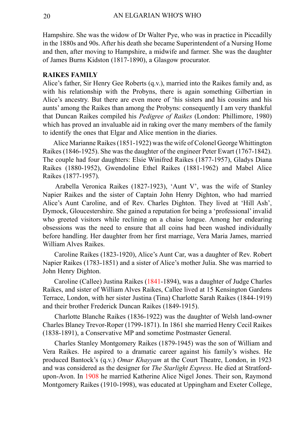Hampshire. She was the widow of Dr Walter Pye, who was in practice in Piccadilly in the 1880s and 90s. After his death she became Superintendent of a Nursing Home and then, after moving to Hampshire, a midwife and farmer. She was the daughter of James Burns Kidston (1817-1890), a Glasgow procurator.

#### **RAIKES FAMILY**

Alice's father, Sir Henry Gee Roberts (q.v.), married into the Raikes family and, as with his relationship with the Probyns, there is again something Gilbertian in Alice's ancestry. But there are even more of 'his sisters and his cousins and his aunts' among the Raikes than among the Probyns: consequently I am very thankful that Duncan Raikes compiled his *Pedigree of Raikes* (London: Phillimore, 1980) which has proved an invaluable aid in raking over the many members of the family to identify the ones that Elgar and Alice mention in the diaries.

 Alice Marianne Raikes (1851-1922) was the wife of Colonel George Whittington Raikes (1846-1925). She was the daughter of the engineer Peter Ewart (1767-1842). The couple had four daughters: Elsie Winifred Raikes (1877-1957), Gladys Diana Raikes (1880-1952), Gwendoline Ethel Raikes (1881-1962) and Mabel Alice Raikes (1877-1957).

 Arabella Veronica Raikes (1827-1923), 'Aunt V', was the wife of Stanley Napier Raikes and the sister of Captain John Henry Dighton, who had married Alice's Aunt Caroline, and of Rev. Charles Dighton. They lived at 'Hill Ash', Dymock, Gloucestershire. She gained a reputation for being a 'professional' invalid who greeted visitors while reclining on a chaise longue. Among her endearing obsessions was the need to ensure that all coins had been washed individually before handling. Her daughter from her first marriage, Vera Maria James, married William Alves Raikes.

 Caroline Raikes (1823-1920), Alice's Aunt Car, was a daughter of Rev. Robert Napier Raikes (1783-1851) and a sister of Alice's mother Julia. She was married to John Henry Dighton.

 Caroline (Callee) Justina Raikes (1841-1894), was a daughter of Judge Charles Raikes, and sister of William Alves Raikes, Callee lived at 15 Kensington Gardens Terrace, London, with her sister Justina (Tina) Charlotte Sarah Raikes (1844-1919) and their brother Frederick Duncan Raikes (1849-1915).

 Charlotte Blanche Raikes (1836-1922) was the daughter of Welsh land-owner Charles Blaney Trevor-Roper (1799-1871). In 1861 she married Henry Cecil Raikes (1838-1891), a Conservative MP and sometime Postmaster General.

 Charles Stanley Montgomery Raikes (1879-1945) was the son of William and Vera Raikes. He aspired to a dramatic career against his family's wishes. He produced Bantock's (q.v.) *Omar Khayyam* at the Court Theatre, London, in 1923 and was considered as the designer for *The Starlight Express*. He died at Stratfordupon-Avon. In 1908 he married Katherine Alice Nigel Jones. Their son, Raymond Montgomery Raikes (1910-1998), was educated at Uppingham and Exeter College,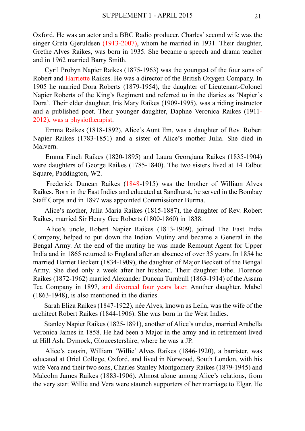Oxford. He was an actor and a BBC Radio producer. Charles' second wife was the singer Greta Gjeruldsen (1913-2007), whom he married in 1931. Their daughter, Grethe Alves Raikes, was born in 1935. She became a speech and drama teacher and in 1962 married Barry Smith.

 Cyril Probyn Napier Raikes (1875-1963) was the youngest of the four sons of Robert and Harriette Raikes. He was a director of the British Oxygen Company. In 1905 he married Dora Roberts (1879-1954), the daughter of Lieutenant-Colonel Napier Roberts of the King's Regiment and referred to in the diaries as 'Napier's Dora'. Their elder daughter, Iris Mary Raikes (1909-1995), was a riding instructor and a published poet. Their younger daughter, Daphne Veronica Raikes (1911- 2012), was a physiotherapist.

 Emma Raikes (1818-1892), Alice's Aunt Em, was a daughter of Rev. Robert Napier Raikes (1783-1851) and a sister of Alice's mother Julia. She died in Malvern.

 Emma Finch Raikes (1820-1895) and Laura Georgiana Raikes (1835-1904) were daughters of George Raikes (1785-1840). The two sisters lived at 14 Talbot Square, Paddington, W2.

 Frederick Duncan Raikes (1848-1915) was the brother of William Alves Raikes. Born in the East Indies and educated at Sandhurst, he served in the Bombay Staff Corps and in 1897 was appointed Commissioner Burma.

 Alice's mother, Julia Maria Raikes (1815-1887), the daughter of Rev. Robert Raikes, married Sir Henry Gee Roberts (1800-1860) in 1838.

 Alice's uncle, Robert Napier Raikes (1813-1909), joined The East India Company, helped to put down the Indian Mutiny and became a General in the Bengal Army. At the end of the mutiny he was made Remount Agent for Upper India and in 1865 returned to England after an absence of over 35 years. In 1854 he married Harriet Beckett (1834-1909), the daughter of Major Beckett of the Bengal Army. She died only a week after her husband. Their daughter Ethel Florence Raikes (1872-1962) married Alexander Duncan Turnbull (1863-1914) of the Assam Tea Company in 1897, and divorced four years later. Another daughter, Mabel (1863-1948), is also mentioned in the diaries.

 Sarah Eliza Raikes (1847-1922), née Alves, known as Leila, was the wife of the architect Robert Raikes (1844-1906). She was born in the West Indies.

 Stanley Napier Raikes (1825-1891), another of Alice's uncles, married Arabella Veronica James in 1858. He had been a Major in the army and in retirement lived at Hill Ash, Dymock, Gloucestershire, where he was a JP.

 Alice's cousin, William 'Willie' Alves Raikes (1846-1920), a barrister, was educated at Oriel College, Oxford, and lived in Norwood, South London, with his wife Vera and their two sons, Charles Stanley Montgomery Raikes (1879-1945) and Malcolm James Raikes (1883-1906). Almost alone among Alice's relations, from the very start Willie and Vera were staunch supporters of her marriage to Elgar. He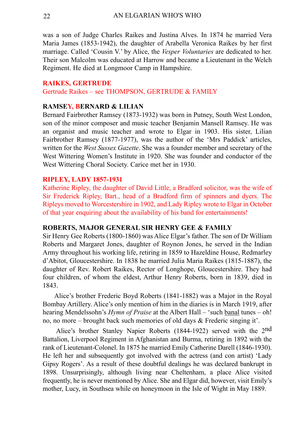was a son of Judge Charles Raikes and Justina Alves. In 1874 he married Vera Maria James (1853-1942), the daughter of Arabella Veronica Raikes by her first marriage. Called 'Cousin V.' by Alice, the *Vesper Voluntaries* are dedicated to her. Their son Malcolm was educated at Harrow and became a Lieutenant in the Welch Regiment. He died at Longmoor Camp in Hampshire.

#### **RAIKES, GERTRUDE**

Gertrude Raikes – see THOMPSON, GERTRUDE & FAMILY

#### **RAMSEY, BERNARD & LILIAN**

Bernard Fairbrother Ramsey (1873-1932) was born in Putney, South West London, son of the minor composer and music teacher Benjamin Mansell Ramsey. He was an organist and music teacher and wrote to Elgar in 1903. His sister, Lilian Fairbrother Ramsey (1877-1977), was the author of the 'Mrs Paddick' articles, written for the *West Sussex Gazette*. She was a founder member and secretary of the West Wittering Women's Institute in 1920. She was founder and conductor of the West Wittering Choral Society. Carice met her in 1930.

#### **RIPLEY, LADY 1857-1931**

Katherine Ripley, the daughter of David Little, a Bradford solicitor, was the wife of Sir Frederick Ripley, Bart., head of a Bradford firm of spinners and dyers. The Ripleys moved to Worcestershire in 1902, and Lady Ripley wrote to Elgar in October of that year enquiring about the availability of his band for entertainments!

#### **ROBERTS, MAJOR GENERAL SIR HENRY GEE & FAMILY**

Sir Henry Gee Roberts (1800-1860) was Alice Elgar's father. The son of Dr William Roberts and Margaret Jones, daughter of Roynon Jones, he served in the Indian Army throughout his working life, retiring in 1859 to Hazeldine House, Redmarley d'Abitot, Gloucestershire. In 1838 he married Julia Maria Raikes (1815-1887), the daughter of Rev. Robert Raikes, Rector of Longhope, Gloucestershire. They had four children, of whom the eldest, Arthur Henry Roberts, born in 1839, died in 1843.

 Alice's brother Frederic Boyd Roberts (1841-1882) was a Major in the Royal Bombay Artillery. Alice's only mention of him in the diaries is in March 1919, after hearing Mendelssohn's *Hymn of Praise* at the Albert Hall – 'such banal tunes – oh! no, no more – brought back such memories of old days & Frederic singing it'.

 Alice's brother Stanley Napier Roberts (1844-1922) served with the 2nd Battalion, Liverpool Regiment in Afghanistan and Burma, retiring in 1892 with the rank of Lieutenant-Colonel. In 1875 he married Emily Catherine Darell (1846-1930). He left her and subsequently got involved with the actress (and con artist) 'Lady Gipsy Rogers'. As a result of these doubtful dealings he was declared bankrupt in 1898. Unsurprisingly, although living near Cheltenham, a place Alice visited frequently, he is never mentioned by Alice. She and Elgar did, however, visit Emily's mother, Lucy, in Southsea while on honeymoon in the Isle of Wight in May 1889.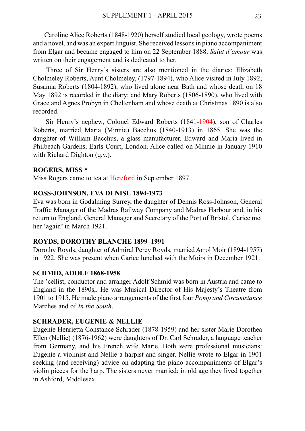Caroline Alice Roberts (1848-1920) herself studied local geology, wrote poems and a novel, and was an expert linguist. She received lessons in piano accompaniment from Elgar and became engaged to him on 22 September 1888. *Salut d'amour* was written on their engagement and is dedicated to her.

 Three of Sir Henry's sisters are also mentioned in the diaries: Elizabeth Cholmeley Roberts, Aunt Cholmeley, (1797-1894), who Alice visited in July 1892; Susanna Roberts (1804-1892), who lived alone near Bath and whose death on 18 May 1892 is recorded in the diary; and Mary Roberts (1806-1890), who lived with Grace and Agnes Probyn in Cheltenham and whose death at Christmas 1890 is also recorded.

 Sir Henry's nephew, Colonel Edward Roberts (1841-1904), son of Charles Roberts, married Maria (Minnie) Bacchus (1840-1913) in 1865. She was the daughter of William Bacchus, a glass manufacturer. Edward and Maria lived in Philbeach Gardens, Earls Court, London. Alice called on Minnie in January 1910 with Richard Dighton (q.v.).

#### **ROGERS, MISS \***

Miss Rogers came to tea at Hereford in September 1897.

#### **ROSS-JOHNSON, EVA DENISE 1894-1973**

Eva was born in Godalming Surrey, the daughter of Dennis Ross-Johnson, General Traffic Manager of the Madras Railway Company and Madras Harbour and, in his return to England, General Manager and Secretary of the Port of Bristol. Carice met her 'again' in March 1921.

#### **ROYDS, DOROTHY BLANCHE 1899–1991**

Dorothy Royds, daughter of Admiral Percy Royds, married Arrol Moir (1894-1957) in 1922. She was present when Carice lunched with the Moirs in December 1921.

#### **SCHMID, ADOLF 1868-1958**

The 'cellist, conductor and arranger Adolf Schmid was born in Austria and came to England in the 1890s,. He was Musical Director of His Majesty's Theatre from 1901 to 1915. He made piano arrangements of the first four *Pomp and Circumstance* Marches and of *In the South*.

#### **SCHRADER, EUGENIE & NELLIE**

Eugenie Henrietta Constance Schrader (1878-1959) and her sister Marie Dorothea Ellen (Nellie) (1876-1962) were daughters of Dr. Carl Schrader, a language teacher from Germany, and his French wife Marie. Both were professional musicians: Eugenie a violinist and Nellie a harpist and singer. Nellie wrote to Elgar in 1901 seeking (and receiving) advice on adapting the piano accompaniments of Elgar's violin pieces for the harp. The sisters never married: in old age they lived together in Ashford, Middlesex.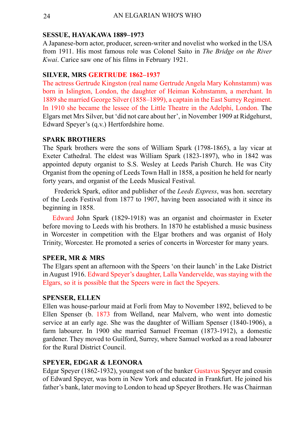#### **SESSUE, HAYAKAWA 1889–1973**

A Japanese-born actor, producer, screen-writer and novelist who worked in the USA from 1911. His most famous role was Colonel Saito in *The Bridge on the River Kwai*. Carice saw one of his films in February 1921.

#### **SILVER, MRS GERTRUDE 1862–1937**

The actress Gertrude Kingston (real name Gertrude Angela Mary Kohnstamm) was born in Islington, London, the daughter of Heiman Kohnstamm, a merchant. In 1889 she married George Silver (1858–1899), a captain in the East Surrey Regiment. In 1910 she became the lessee of the Little Theatre in the Adelphi, London. The Elgars met Mrs Silver, but 'did not care about her', in November 1909 at Ridgehurst, Edward Speyer's (q.v.) Hertfordshire home.

#### **SPARK BROTHERS**

The Spark brothers were the sons of William Spark (1798-1865), a lay vicar at Exeter Cathedral. The eldest was William Spark (1823-1897), who in 1842 was appointed deputy organist to S.S. Wesley at Leeds Parish Church. He was City Organist from the opening of Leeds Town Hall in 1858, a position he held for nearly forty years, and organist of the Leeds Musical Festival.

 Frederick Spark, editor and publisher of the *Leeds Express*, was hon. secretary of the Leeds Festival from 1877 to 1907, having been associated with it since its beginning in 1858.

 Edward John Spark (1829-1918) was an organist and choirmaster in Exeter before moving to Leeds with his brothers. In 1870 he established a music business in Worcester in competition with the Elgar brothers and was organist of Holy Trinity, Worcester. He promoted a series of concerts in Worcester for many years.

#### **SPEER, MR & MRS**

The Elgars spent an afternoon with the Speers 'on their launch' in the Lake District in August 1916. Edward Speyer's daughter, Lalla Vandervelde, was staying with the Elgars, so it is possible that the Speers were in fact the Speyers.

#### **SPENSER, ELLEN**

Ellen was house-parlour maid at Forli from May to November 1892, believed to be Ellen Spenser (b. 1873 from Welland, near Malvern, who went into domestic service at an early age. She was the daughter of William Spenser (1840-1906), a farm labourer. In 1900 she married Samuel Freeman (1873-1912), a domestic gardener. They moved to Guilford, Surrey, where Samuel worked as a road labourer for the Rural District Council.

#### **SPEYER, EDGAR & LEONORA**

Edgar Speyer (1862-1932), youngest son of the banker Gustavus Speyer and cousin of Edward Speyer, was born in New York and educated in Frankfurt. He joined his father's bank, later moving to London to head up Speyer Brothers. He was Chairman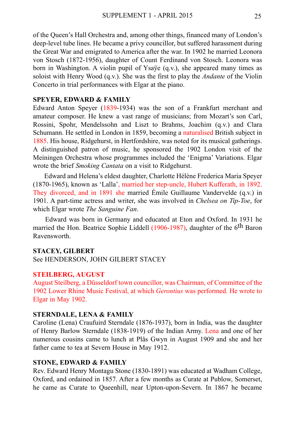of the Queen's Hall Orchestra and, among other things, financed many of London's deep-level tube lines. He became a privy councillor, but suffered harassment during the Great War and emigrated to America after the war. In 1902 he married Leonora von Stosch (1872-1956), daughter of Count Ferdinand von Stosch. Leonora was born in Washington. A violin pupil of Ysaÿe (q.v.), she appeared many times as soloist with Henry Wood (q.v.). She was the first to play the *Andante* of the Violin Concerto in trial performances with Elgar at the piano.

#### **SPEYER, EDWARD & FAMILY**

Edward Anton Speyer (1839-1934) was the son of a Frankfurt merchant and amateur composer. He knew a vast range of musicians; from Mozart's son Carl, Rossini, Spohr, Mendelssohn and Liszt to Brahms, Joachim (q.v.) and Clara Schumann. He settled in London in 1859, becoming a naturalised British subject in 1885. His house, Ridgehurst, in Hertfordshire, was noted for its musical gatherings. A distinguished patron of music, he sponsored the 1902 London visit of the Meiningen Orchestra whose programmes included the 'Enigma' Variations. Elgar wrote the brief *Smoking Cantata* on a visit to Ridgehurst.

 Edward and Helena's eldest daughter, Charlotte Hélène Frederica Maria Speyer (1870-1965), known as 'Lalla', married her step-uncle, Hubert Kufferath, in 1892. They divorced, and in 1891 she married Émile Guillaume Vandervelde (q.v.) in 1901. A part-time actress and writer, she was involved in *Chelsea on Tip-Toe*, for which Elgar wrote *The Sanguine Fan*.

 Edward was born in Germany and educated at Eton and Oxford. In 1931 he married the Hon. Beatrice Sophie Liddell (1906-1987), daughter of the 6<sup>th</sup> Baron Ravensworth.

#### **STACEY, GILBERT**

See HENDERSON, JOHN GILBERT STACEY

#### **STEILBERG, AUGUST**

August Steilberg, a Düsseldorf town councillor, was Chairman, of Committee of the 1902 Lower Rhine Music Festival, at which *Gerontius* was performed. He wrote to Elgar in May 1902.

#### **STERNDALE, LENA & FAMILY**

Caroline (Lena) Craufuird Sterndale (1876-1937), born in India, was the daughter of Henry Barlow Sterndale (1838-1919) of the Indian Army. Lena and one of her numerous cousins came to lunch at Plâs Gwyn in August 1909 and she and her father came to tea at Severn House in May 1912.

#### **STONE, EDWARD & FAMILY**

Rev. Edward Henry Montagu Stone (1830-1891) was educated at Wadham College, Oxford, and ordained in 1857. After a few months as Curate at Publow, Somerset, he came as Curate to Queenhill, near Upton-upon-Severn. In 1867 he became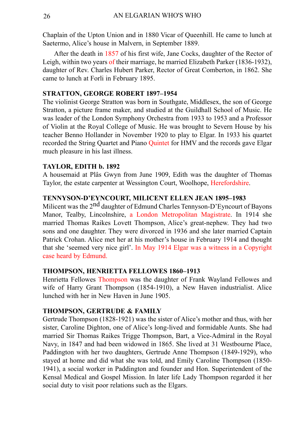Chaplain of the Upton Union and in 1880 Vicar of Queenhill. He came to lunch at Saetermo, Alice's house in Malvern, in September 1889.

 After the death in 1857 of his first wife, Jane Cocks, daughter of the Rector of Leigh, within two years of their marriage, he married Elizabeth Parker (1836-1932), daughter of Rev. Charles Hubert Parker, Rector of Great Comberton, in 1862. She came to lunch at Forli in February 1895.

#### **STRATTON, GEORGE ROBERT 1897–1954**

The violinist George Stratton was born in Southgate, Middlesex, the son of George Stratton, a picture frame maker, and studied at the Guildhall School of Music. He was leader of the London Symphony Orchestra from 1933 to 1953 and a Professor of Violin at the Royal College of Music. He was brought to Severn House by his teacher Benno Hollander in November 1920 to play to Elgar. In 1933 his quartet recorded the String Quartet and Piano Quintet for HMV and the records gave Elgar much pleasure in his last illness.

#### **TAYLOR, EDITH b. 1892**

A housemaid at Plâs Gwyn from June 1909, Edith was the daughter of Thomas Taylor, the estate carpenter at Wessington Court, Woolhope, Herefordshire.

#### **TENNYSON-D'EYNCOURT, MILICENT ELLEN JEAN 1895–1983**

Milicent was the 2<sup>nd</sup> daughter of Edmund Charles Tennyson-D'Eyncourt of Bayons Manor, Tealby, Lincolnshire, a London Metropolitan Magistrate. In 1914 she married Thomas Raikes Lovett Thompson, Alice's great-nephew. They had two sons and one daughter. They were divorced in 1936 and she later married Captain Patrick Crohan. Alice met her at his mother's house in February 1914 and thought that she 'seemed very nice girl'. In May 1914 Elgar was a witness in a Copyright case heard by Edmund.

#### **THOMPSON, HENRIETTA FELLOWES 1860–1913**

Henrietta Fellowes Thompson was the daughter of Frank Wayland Fellowes and wife of Harry Grant Thompson (1854-1910), a New Haven industrialist. Alice lunched with her in New Haven in June 1905.

#### **THOMPSON, GERTRUDE & FAMILY**

Gertrude Thompson (1828-1921) was the sister of Alice's mother and thus, with her sister, Caroline Dighton, one of Alice's long-lived and formidable Aunts. She had married Sir Thomas Raikes Trigge Thompson, Bart, a Vice-Admiral in the Royal Navy, in 1847 and had been widowed in 1865. She lived at 31 Westbourne Place, Paddington with her two daughters, Gertrude Anne Thompson (1849-1929), who stayed at home and did what she was told, and Emily Caroline Thompson (1850- 1941), a social worker in Paddington and founder and Hon. Superintendent of the Kensal Medical and Gospel Mission. In later life Lady Thompson regarded it her social duty to visit poor relations such as the Elgars.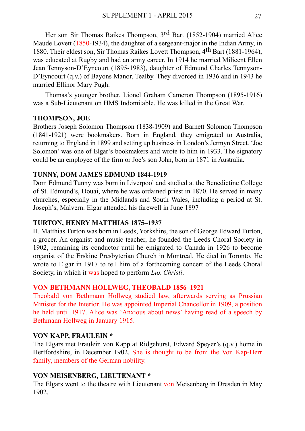Her son Sir Thomas Raikes Thompson, 3rd Bart (1852-1904) married Alice Maude Lovett (1850-1934), the daughter of a sergeant-major in the Indian Army, in 1880. Their eldest son, Sir Thomas Raikes Lovett Thompson, 4th Bart (1881-1964), was educated at Rugby and had an army career. In 1914 he married Milicent Ellen Jean Tennyson-D'Eyncourt (1895-1983), daughter of Edmund Charles Tennyson-D'Eyncourt (q.v.) of Bayons Manor, Tealby. They divorced in 1936 and in 1943 he married Ellinor Mary Pugh.

 Thomas's younger brother, Lionel Graham Cameron Thompson (1895-1916) was a Sub-Lieutenant on HMS Indomitable. He was killed in the Great War.

#### **THOMPSON, JOE**

Brothers Joseph Solomon Thompson (1838-1909) and Barnett Solomon Thompson (1841-1921) were bookmakers. Born in England, they emigrated to Australia, returning to England in 1899 and setting up business in London's Jermyn Street. 'Joe Solomon' was one of Elgar's bookmakers and wrote to him in 1933. The signatory could be an employee of the firm or Joe's son John, born in 1871 in Australia.

#### **TUNNY, DOM JAMES EDMUND 1844-1919**

Dom Edmund Tunny was born in Liverpool and studied at the Benedictine College of St. Edmund's, Douai, where he was ordained priest in 1870. He served in many churches, especially in the Midlands and South Wales, including a period at St. Joseph's, Malvern. Elgar attended his farewell in June 1897

#### **TURTON, HENRY MATTHIAS 1875–1937**

H. Matthias Turton was born in Leeds, Yorkshire, the son of George Edward Turton, a grocer. An organist and music teacher, he founded the Leeds Choral Society in 1902, remaining its conductor until he emigrated to Canada in 1926 to become organist of the Erskine Presbyterian Church in Montreal. He died in Toronto. He wrote to Elgar in 1917 to tell him of a forthcoming concert of the Leeds Choral Society, in which it was hoped to perform *Lux Christi*.

#### **VON BETHMANN HOLLWEG, THEOBALD 1856–1921**

Theobald von Bethmann Hollweg studied law, afterwards serving as Prussian Minister for the Interior. He was appointed Imperial Chancellor in 1909, a position he held until 1917. Alice was 'Anxious about news' having read of a speech by Bethmann Hollweg in January 1915.

#### **VON KAPP, FRAULEIN \***

The Elgars met Fraulein von Kapp at Ridgehurst, Edward Speyer's (q.v.) home in Hertfordshire, in December 1902. She is thought to be from the Von Kap-Herr family, members of the German nobility.

#### **VON MEISENBERG, LIEUTENANT \***

The Elgars went to the theatre with Lieutenant von Meisenberg in Dresden in May 1902.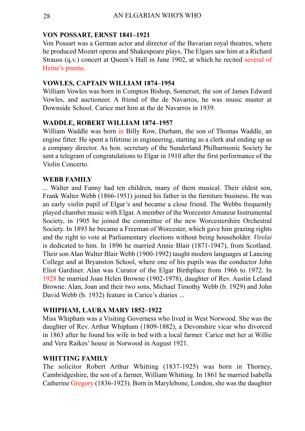#### **VON POSSART, ERNST 1841–1921**

Von Possart was a German actor and director of the Bavarian royal theatres, where he produced Mozart operas and Shakespeare plays. The Elgars saw him at a Richard Strauss (q.v.) concert at Queen's Hall in June 1902, at which he recited several of Heine's poems.

#### **VOWLES, CAPTAIN WILLIAM 1874–1954**

William Vowles was born in Compton Bishop, Somerset, the son of James Edward Vowles, and auctioneer. A friend of the de Navarros, he was music master at Downside School. Carice met him at the de Navarros in 1939.

#### **WADDLE, ROBERT WILLIAM 1874–1957**

William Waddle was born in Billy Row, Durham, the son of Thomas Waddle, an engine fitter. He spent a lifetime in engineering, starting as a clerk and ending up as a company director. As hon. secretary of the Sunderland Philharmonic Society he sent a telegram of congratulations to Elgar in 1910 after the first performance of the Violin Concerto.

#### **WEBB FAMILY**

... Walter and Fanny had ten children, many of them musical. Their eldest son, Frank Walter Webb (1866-1951) joined his father in the furniture business. He was an early violin pupil of Elgar's and became a close friend. The Webbs frequently played chamber music with Elgar. A member of the Worcester Amateur Instrumental Society, in 1905 he joined the committee of the new Worcestershire Orchestral Society. In 1893 he became a Freeman of Worcester, which gave him grazing rights and the right to vote at Parliamentary elections without being householder. *Virelai* is dedicated to him. In 1896 he married Annie Blair (1871-1947), from Scotland. Their son Alan Walter Blair Webb (1900-1992) taught modern languages at Lancing College and at Bryanston School, where one of his pupils was the conductor John Eliot Gardiner. Alan was Curator of the Elgar Birthplace from 1966 to 1972. In 1928 he married Joan Helen Browne (1902-1978), daughter of Rev. Austin Leland Browne. Alan, Joan and their two sons, Michael Timothy Webb (b. 1929) and John David Webb (b. 1932) feature in Carice's diaries ...

#### **WHIPHAM, LAURA MARY 1852–1922**

Miss Whipham was a Visiting Governess who lived in West Norwood. She was the daughter of Rev. Arthur Whipham (1809-1882), a Devonshire vicar who divorced in 1863 after he found his wife in bed with a local farmer. Carice met her at Willie and Vera Raikes' house in Norwood in August 1921.

#### **WHITTING FAMILY**

The solicitor Robert Arthur Whitting (1837-1925) was born in Thorney, Cambridgeshire, the son of a farmer, William Whitting. In 1861 he married Isabella Catherine Gregory (1836-1923). Born in Marylebone, London, she was the daughter